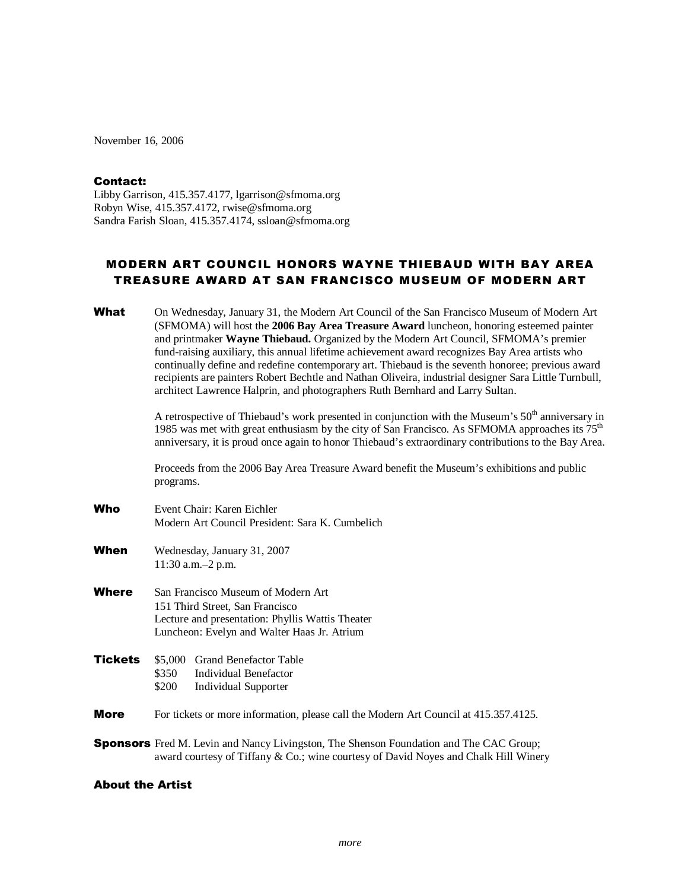November 16, 2006

## Contact:

Libby Garrison, 415.357.4177, lgarrison@sfmoma.org Robyn Wise, 415.357.4172, rwise@sfmoma.org Sandra Farish Sloan, 415.357.4174, ssloan@sfmoma.org

## MODERN ART COUNCIL HONORS WAYNE THIEBAUD WITH BAY AREA TREASURE AWARD AT SAN FRANCISCO MUSEUM OF MODERN ART

| What                    | On Wednesday, January 31, the Modern Art Council of the San Francisco Museum of Modern Art<br>(SFMOMA) will host the 2006 Bay Area Treasure Award luncheon, honoring esteemed painter<br>and printmaker Wayne Thiebaud. Organized by the Modern Art Council, SFMOMA's premier<br>fund-raising auxiliary, this annual lifetime achievement award recognizes Bay Area artists who<br>continually define and redefine contemporary art. Thiebaud is the seventh honoree; previous award<br>recipients are painters Robert Bechtle and Nathan Oliveira, industrial designer Sara Little Turnbull,<br>architect Lawrence Halprin, and photographers Ruth Bernhard and Larry Sultan. |                                                                                                                                                                                                                                                                                                                           |  |
|-------------------------|--------------------------------------------------------------------------------------------------------------------------------------------------------------------------------------------------------------------------------------------------------------------------------------------------------------------------------------------------------------------------------------------------------------------------------------------------------------------------------------------------------------------------------------------------------------------------------------------------------------------------------------------------------------------------------|---------------------------------------------------------------------------------------------------------------------------------------------------------------------------------------------------------------------------------------------------------------------------------------------------------------------------|--|
|                         |                                                                                                                                                                                                                                                                                                                                                                                                                                                                                                                                                                                                                                                                                | A retrospective of Thiebaud's work presented in conjunction with the Museum's 50 <sup>th</sup> anniversary in<br>1985 was met with great enthusiasm by the city of San Francisco. As SFMOMA approaches its $75th$<br>anniversary, it is proud once again to honor Thiebaud's extraordinary contributions to the Bay Area. |  |
|                         | Proceeds from the 2006 Bay Area Treasure Award benefit the Museum's exhibitions and public<br>programs.                                                                                                                                                                                                                                                                                                                                                                                                                                                                                                                                                                        |                                                                                                                                                                                                                                                                                                                           |  |
| Who                     |                                                                                                                                                                                                                                                                                                                                                                                                                                                                                                                                                                                                                                                                                | Event Chair: Karen Eichler<br>Modern Art Council President: Sara K. Cumbelich                                                                                                                                                                                                                                             |  |
| When                    | Wednesday, January 31, 2007<br>11:30 a.m.-2 p.m.                                                                                                                                                                                                                                                                                                                                                                                                                                                                                                                                                                                                                               |                                                                                                                                                                                                                                                                                                                           |  |
| Where                   | San Francisco Museum of Modern Art<br>151 Third Street, San Francisco<br>Lecture and presentation: Phyllis Wattis Theater<br>Luncheon: Evelyn and Walter Haas Jr. Atrium                                                                                                                                                                                                                                                                                                                                                                                                                                                                                                       |                                                                                                                                                                                                                                                                                                                           |  |
| <b>Tickets</b>          | \$5,000<br>\$350<br>\$200                                                                                                                                                                                                                                                                                                                                                                                                                                                                                                                                                                                                                                                      | <b>Grand Benefactor Table</b><br><b>Individual Benefactor</b><br><b>Individual Supporter</b>                                                                                                                                                                                                                              |  |
| <b>More</b>             |                                                                                                                                                                                                                                                                                                                                                                                                                                                                                                                                                                                                                                                                                | For tickets or more information, please call the Modern Art Council at 415.357.4125.                                                                                                                                                                                                                                      |  |
|                         | <b>Sponsors</b> Fred M. Levin and Nancy Livingston, The Shenson Foundation and The CAC Group;<br>award courtesy of Tiffany & Co.; wine courtesy of David Noyes and Chalk Hill Winery                                                                                                                                                                                                                                                                                                                                                                                                                                                                                           |                                                                                                                                                                                                                                                                                                                           |  |
| <b>About the Artist</b> |                                                                                                                                                                                                                                                                                                                                                                                                                                                                                                                                                                                                                                                                                |                                                                                                                                                                                                                                                                                                                           |  |